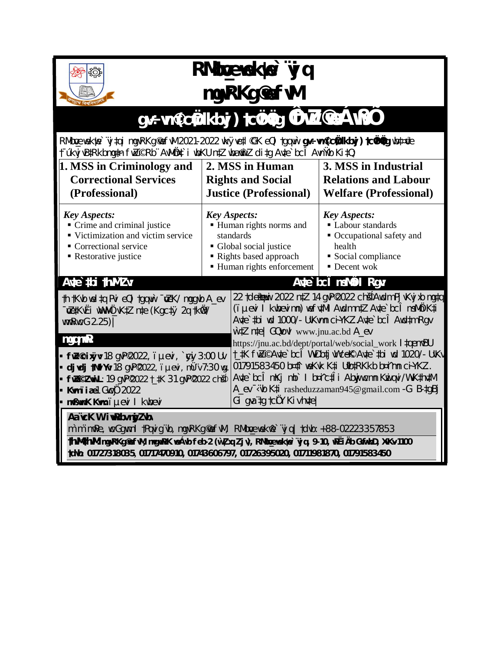

## RMbreaekte vj q mgvRKg ® fwl

## gv÷vm @ctàkbyj) tctùtàg Û FwZ @e ÁwBÖ

RMboewekwe`vjtqi mgvRKg@fwl 2021-2022 wkyvetl@K eQi tgqwi gv÷ m@ctakbyj) tcwttig wbt¤ce t úkvj vBtRkbmgtn fwZORD AvMQt i wbKU ntZ wbam Z ditg Avte bc1 Avnivb Kit0.

| 1. MSS in Criminology and<br><b>Correctional Services</b><br>(Professional)                                                                                                                                                                                                                                                                                  | 2. MSS in Human<br><b>Rights and Social</b><br><b>Justice (Professional)</b>                                                               | 3. MSS in Industrial<br><b>Relations and Labour</b><br><b>Welfare (Professional)</b>                                                                                                                                                                                                                                                                                                                                                                                                                                                                                          |  |  |  |
|--------------------------------------------------------------------------------------------------------------------------------------------------------------------------------------------------------------------------------------------------------------------------------------------------------------------------------------------------------------|--------------------------------------------------------------------------------------------------------------------------------------------|-------------------------------------------------------------------------------------------------------------------------------------------------------------------------------------------------------------------------------------------------------------------------------------------------------------------------------------------------------------------------------------------------------------------------------------------------------------------------------------------------------------------------------------------------------------------------------|--|--|--|
| <b>Key Aspects:</b><br>Crime and criminal justice<br>■ Victimization and victim service<br>• Correctional service<br>Restorative justice                                                                                                                                                                                                                     | <b>Key Aspects:</b><br>Human rights norms and<br>standards<br>• Global social justice<br>Rights based approach<br>Human rights enforcement | <b>Key Aspects:</b><br>Labour standards<br>• Occupational safety and<br>health<br>Social compliance<br>• Decent wok                                                                                                                                                                                                                                                                                                                                                                                                                                                           |  |  |  |
| Aute thi thum Zv.<br>th tKvb weltq Pvi eQi tgqwi vzK/mggvb A_ev<br>~va KvËi www.ÖvK‡Zn‡e (Kgctý 2qtkw0)<br>WWRWCG 2.25)<br>mgqmP:<br><b>▪ fwZ©ixÿv:</b> 18 gvP©022, ïµevi, ` <b>çiy</b> 3:00 Uv<br><b>djvdj tNvlYv:</b> 18 gvP@022, ïµevi, mÜïv 7:30 wg.<br>■ fwZi©ZwwiL:19 qvP©022 t_‡K 31 qvP©022 ch∯<br>Kumiiae 1 Guci 2022<br>mußumK Kum: iµevi I kubevi |                                                                                                                                            | Aute bc1 msMOOI Rgv.<br>22 tdeatywi 2022 ntZ 14 gyPQ022 chg4Awdm Pj vKvj xb mgtq<br>(i µevi I kwbevimn) wefv‡Mi Awdm n‡Z Av‡e`bcÎ msMÖK‡i<br>Avte`tbi wd 1000/- UvKwmn ci-YKZ.Avte`bcî Awdtm Rgv<br>witZ nte GQvovl www.jnu.ac.bd A_ev<br>https://jnu.ac.bd/dept/portal/web/social_work 1 ‡qemvBU<br> t_‡K fwZ©Av‡e`bcÎ WvDb‡j wVcek© Av‡e`‡bi wd 1020/- UvKv<br>01791583450 b¤#i weKvk K‡i Ufb‡RKkb b¤imn ciYKZ.<br>Avte`bcî mKj mb` I b¤îctî i Abwjwcmn Kwiqvi/WwKthvtM<br>A ev wib K <sup>t</sup> i rasheduzzaman945@gmail.com - G B-tgBj<br>Gi qva $tq$ to $Q'$ Kiv hvtel |  |  |  |
| Aa"vcK W. iwRbv myZvbv<br>m`m¨mwPe, wcGgwm I tPqvigïvb, mgvRKg@fwM, RMbcewekwe`ïvjq tdvb: +88-02223357853<br>thwM4hwM: mgvRKg@fwM, mvgwRK veÁvb feb-2 (wì Zxq Zjv), RMboexekue`ÿjq, 9-10, wPËiÄb GwfvbD, XvKv-1100<br>td\b: 01727318035, 01717470910, 01743606797, 01726395020, 01711981870, 01791583450                                                     |                                                                                                                                            |                                                                                                                                                                                                                                                                                                                                                                                                                                                                                                                                                                               |  |  |  |